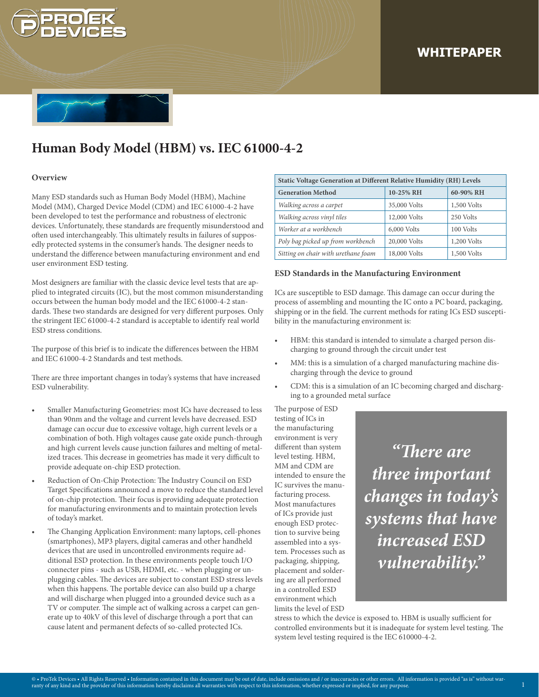



# **Human Body Model (HBM) vs. IEC 61000-4-2**

## **Overview**

Many ESD standards such as Human Body Model (HBM), Machine Model (MM), Charged Device Model (CDM) and IEC 61000-4-2 have been developed to test the performance and robustness of electronic devices. Unfortunately, these standards are frequently misunderstood and often used interchangeably. This ultimately results in failures of supposedly protected systems in the consumer's hands. The designer needs to understand the difference between manufacturing environment and end user environment ESD testing.

Most designers are familiar with the classic device level tests that are applied to integrated circuits (IC), but the most common misunderstanding occurs between the human body model and the IEC 61000-4-2 standards. These two standards are designed for very different purposes. Only the stringent IEC 61000-4-2 standard is acceptable to identify real world ESD stress conditions.

The purpose of this brief is to indicate the differences between the HBM and IEC 61000-4-2 Standards and test methods.

There are three important changes in today's systems that have increased ESD vulnerability.

- Smaller Manufacturing Geometries: most ICs have decreased to less than 90nm and the voltage and current levels have decreased. ESD damage can occur due to excessive voltage, high current levels or a combination of both. High voltages cause gate oxide punch-through and high current levels cause junction failures and melting of metalized traces. This decrease in geometries has made it very difficult to provide adequate on-chip ESD protection.
- Reduction of On-Chip Protection: The Industry Council on ESD Target Specifications announced a move to reduce the standard level of on-chip protection. Their focus is providing adequate protection for manufacturing environments and to maintain protection levels of today's market.
- The Changing Application Environment: many laptops, cell-phones (smartphones), MP3 players, digital cameras and other handheld devices that are used in uncontrolled environments require additional ESD protection. In these environments people touch I/O connecter pins - such as USB, HDMI, etc. - when plugging or unplugging cables. The devices are subject to constant ESD stress levels when this happens. The portable device can also build up a charge and will discharge when plugged into a grounded device such as a TV or computer. The simple act of walking across a carpet can generate up to 40kV of this level of discharge through a port that can cause latent and permanent defects of so-called protected ICs.

| <b>Static Voltage Generation at Different Relative Humidity (RH) Levels</b> |              |             |  |  |
|-----------------------------------------------------------------------------|--------------|-------------|--|--|
| <b>Generation Method</b>                                                    | 10-25% RH    | 60-90% RH   |  |  |
| Walking across a carpet                                                     | 35,000 Volts | 1,500 Volts |  |  |
| Walking across vinyl tiles                                                  | 12,000 Volts | 250 Volts   |  |  |
| Worker at a workbench                                                       | 6,000 Volts  | 100 Volts   |  |  |
| Poly bag picked up from workbench                                           | 20,000 Volts | 1,200 Volts |  |  |
| Sitting on chair with urethane foam                                         | 18,000 Volts | 1,500 Volts |  |  |

### **ESD Standards in the Manufacturing Environment**

ICs are susceptible to ESD damage. This damage can occur during the process of assembling and mounting the IC onto a PC board, packaging, shipping or in the field. The current methods for rating ICs ESD susceptibility in the manufacturing environment is:

- HBM: this standard is intended to simulate a charged person discharging to ground through the circuit under test
- MM: this is a simulation of a charged manufacturing machine discharging through the device to ground
- CDM: this is a simulation of an IC becoming charged and discharging to a grounded metal surface

The purpose of ESD testing of ICs in the manufacturing environment is very different than system level testing. HBM, MM and CDM are intended to ensure the IC survives the manufacturing process. Most manufactures of ICs provide just enough ESD protection to survive being assembled into a system. Processes such as packaging, shipping, placement and soldering are all performed in a controlled ESD environment which limits the level of ESD

*"There are three important changes in today's systems that have increased ESD vulnerability."*

stress to which the device is exposed to. HBM is usually sufficient for controlled environments but it is inadequate for system level testing. The system level testing required is the IEC 610000-4-2.